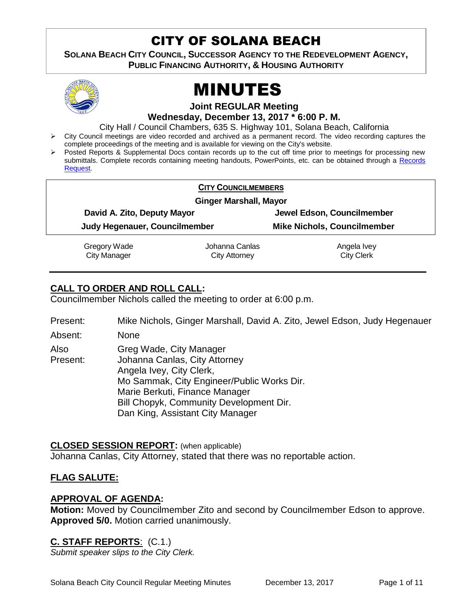# CITY OF SOLANA BEACH

**SOLANA BEACH CITY COUNCIL, SUCCESSOR AGENCY TO THE REDEVELOPMENT AGENCY, PUBLIC FINANCING AUTHORITY, & HOUSING AUTHORITY** 



# MINUTES

**Joint REGULAR Meeting**

**Wednesday, December 13, 2017 \* 6:00 P. M.**

City Hall / Council Chambers, 635 S. Highway 101, Solana Beach, California

- $\triangleright$  City Council meetings are video recorded and archived as a permanent record. The video recording captures the complete proceedings of the meeting and is available for viewing on the City's website.
- Posted Reports & Supplemental Docs contain records up to the cut off time prior to meetings for processing new submittals. Complete records containing meeting handouts, PowerPoints, etc. can be obtained through a [Records](http://www.ci.solana-beach.ca.us/index.asp?SEC=F5D45D10-70CE-4291-A27C-7BD633FC6742&Type=B_BASIC)  [Request.](http://www.ci.solana-beach.ca.us/index.asp?SEC=F5D45D10-70CE-4291-A27C-7BD633FC6742&Type=B_BASIC)

|                                                              | <b>CITY COUNCILMEMBERS</b> |                                    |  |
|--------------------------------------------------------------|----------------------------|------------------------------------|--|
|                                                              |                            |                                    |  |
| <b>Ginger Marshall, Mayor</b>                                |                            |                                    |  |
| David A. Zito, Deputy Mayor<br>Judy Hegenauer, Councilmember |                            | Jewel Edson, Councilmember         |  |
|                                                              |                            | <b>Mike Nichols, Councilmember</b> |  |
| Gregory Wade                                                 | Johanna Canlas             | Angela Ivey                        |  |
| <b>City Manager</b>                                          | <b>City Attorney</b>       | <b>City Clerk</b>                  |  |

# **CALL TO ORDER AND ROLL CALL:**

Councilmember Nichols called the meeting to order at 6:00 p.m.

Present: Mike Nichols, Ginger Marshall, David A. Zito, Jewel Edson, Judy Hegenauer

Absent: None

Also Present: Greg Wade, City Manager Johanna Canlas, City Attorney Angela Ivey, City Clerk, Mo Sammak, City Engineer/Public Works Dir. Marie Berkuti, Finance Manager Bill Chopyk, Community Development Dir. Dan King, Assistant City Manager

# **CLOSED SESSION REPORT:** (when applicable)

Johanna Canlas, City Attorney, stated that there was no reportable action.

# **FLAG SALUTE:**

# **APPROVAL OF AGENDA:**

**Motion:** Moved by Councilmember Zito and second by Councilmember Edson to approve. **Approved 5/0.** Motion carried unanimously.

# **C. STAFF REPORTS**: (C.1.)

*Submit speaker slips to the City Clerk.*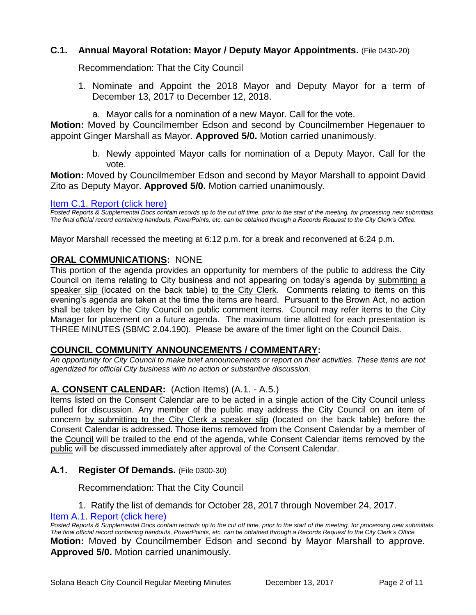# **C.1. Annual Mayoral Rotation: Mayor / Deputy Mayor Appointments.** (File 0430-20)

Recommendation: That the City Council

- 1. Nominate and Appoint the 2018 Mayor and Deputy Mayor for a term of December 13, 2017 to December 12, 2018.
	- a. Mayor calls for a nomination of a new Mayor. Call for the vote.

**Motion:** Moved by Councilmember Edson and second by Councilmember Hegenauer to appoint Ginger Marshall as Mayor. **Approved 5/0.** Motion carried unanimously.

> b. Newly appointed Mayor calls for nomination of a Deputy Mayor. Call for the vote.

**Motion:** Moved by Councilmember Edson and second by Mayor Marshall to appoint David Zito as Deputy Mayor. **Approved 5/0.** Motion carried unanimously.

#### [Item C.1. Report \(click here\)](https://solanabeach.govoffice3.com/vertical/Sites/%7B840804C2-F869-4904-9AE3-720581350CE7%7D/uploads/Item_C.1._Report_(click_here)_-_12-13-17.pdf)

*Posted Reports & Supplemental Docs contain records up to the cut off time, prior to the start of the meeting, for processing new submittals. The final official record containing handouts, PowerPoints, etc. can be obtained through a Records Request to the City Clerk's Office.*

Mayor Marshall recessed the meeting at 6:12 p.m. for a break and reconvened at 6:24 p.m.

# **ORAL COMMUNICATIONS:** NONE

This portion of the agenda provides an opportunity for members of the public to address the City Council on items relating to City business and not appearing on today's agenda by submitting a speaker slip (located on the back table) to the City Clerk. Comments relating to items on this evening's agenda are taken at the time the items are heard. Pursuant to the Brown Act, no action shall be taken by the City Council on public comment items. Council may refer items to the City Manager for placement on a future agenda. The maximum time allotted for each presentation is THREE MINUTES (SBMC 2.04.190). Please be aware of the timer light on the Council Dais.

#### **COUNCIL COMMUNITY ANNOUNCEMENTS / COMMENTARY:**

*An opportunity for City Council to make brief announcements or report on their activities. These items are not agendized for official City business with no action or substantive discussion.* 

# **A. CONSENT CALENDAR:** (Action Items) (A.1. - A.5.)

Items listed on the Consent Calendar are to be acted in a single action of the City Council unless pulled for discussion. Any member of the public may address the City Council on an item of concern by submitting to the City Clerk a speaker slip (located on the back table) before the Consent Calendar is addressed. Those items removed from the Consent Calendar by a member of the Council will be trailed to the end of the agenda, while Consent Calendar items removed by the public will be discussed immediately after approval of the Consent Calendar.

#### **A.1. Register Of Demands.** (File 0300-30)

Recommendation: That the City Council

#### 1. Ratify the list of demands for October 28, 2017 through November 24, 2017. [Item A.1. Report \(click here\)](https://solanabeach.govoffice3.com/vertical/Sites/%7B840804C2-F869-4904-9AE3-720581350CE7%7D/uploads/Item_A.1._Report_(click_here)_-_12-13-17.pdf)

*Posted Reports & Supplemental Docs contain records up to the cut off time, prior to the start of the meeting, for processing new submittals. The final official record containing handouts, PowerPoints, etc. can be obtained through a Records Request to the City Clerk's Office.* **Motion:** Moved by Councilmember Edson and second by Mayor Marshall to approve. **Approved 5/0.** Motion carried unanimously.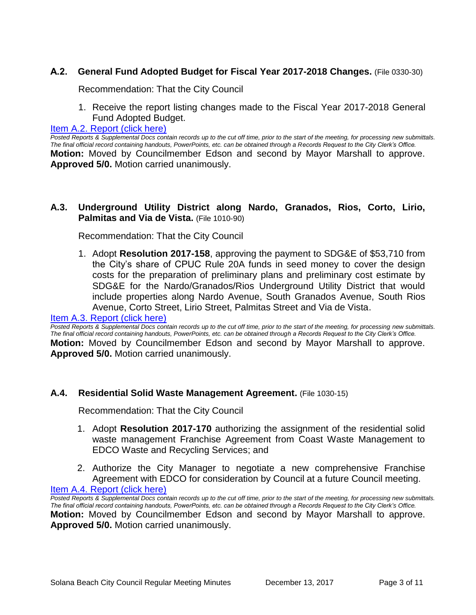# **A.2. General Fund Adopted Budget for Fiscal Year 2017-2018 Changes.** (File 0330-30)

Recommendation: That the City Council

1. Receive the report listing changes made to the Fiscal Year 2017-2018 General Fund Adopted Budget.

[Item A.2. Report \(click here\)](https://solanabeach.govoffice3.com/vertical/Sites/%7B840804C2-F869-4904-9AE3-720581350CE7%7D/uploads/Item_A.2._Report_(click_here)_-_12-13-17.pdf)

*Posted Reports & Supplemental Docs contain records up to the cut off time, prior to the start of the meeting, for processing new submittals. The final official record containing handouts, PowerPoints, etc. can be obtained through a Records Request to the City Clerk's Office.* **Motion:** Moved by Councilmember Edson and second by Mayor Marshall to approve. **Approved 5/0.** Motion carried unanimously.

#### **A.3. Underground Utility District along Nardo, Granados, Rios, Corto, Lirio, Palmitas and Via de Vista.** (File 1010-90)

Recommendation: That the City Council

1. Adopt **Resolution 2017-158**, approving the payment to SDG&E of \$53,710 from the City's share of CPUC Rule 20A funds in seed money to cover the design costs for the preparation of preliminary plans and preliminary cost estimate by SDG&E for the Nardo/Granados/Rios Underground Utility District that would include properties along Nardo Avenue, South Granados Avenue, South Rios Avenue, Corto Street, Lirio Street, Palmitas Street and Via de Vista.

#### [Item A.3. Report \(click here\)](https://solanabeach.govoffice3.com/vertical/Sites/%7B840804C2-F869-4904-9AE3-720581350CE7%7D/uploads/Item_A.3._Report_(click_here)_-_12-13-17.pdf)

*Posted Reports & Supplemental Docs contain records up to the cut off time, prior to the start of the meeting, for processing new submittals. The final official record containing handouts, PowerPoints, etc. can be obtained through a Records Request to the City Clerk's Office.* **Motion:** Moved by Councilmember Edson and second by Mayor Marshall to approve. **Approved 5/0.** Motion carried unanimously.

#### **A.4. Residential Solid Waste Management Agreement.** (File 1030-15)

Recommendation: That the City Council

- 1. Adopt **Resolution 2017-170** authorizing the assignment of the residential solid waste management Franchise Agreement from Coast Waste Management to EDCO Waste and Recycling Services; and
- 2. Authorize the City Manager to negotiate a new comprehensive Franchise Agreement with EDCO for consideration by Council at a future Council meeting.

[Item A.4. Report \(click here\)](https://solanabeach.govoffice3.com/vertical/Sites/%7B840804C2-F869-4904-9AE3-720581350CE7%7D/uploads/Item_A.4._Report_(click_here)_-_12-13-17.pdf)

*Posted Reports & Supplemental Docs contain records up to the cut off time, prior to the start of the meeting, for processing new submittals. The final official record containing handouts, PowerPoints, etc. can be obtained through a Records Request to the City Clerk's Office.* **Motion:** Moved by Councilmember Edson and second by Mayor Marshall to approve. **Approved 5/0.** Motion carried unanimously.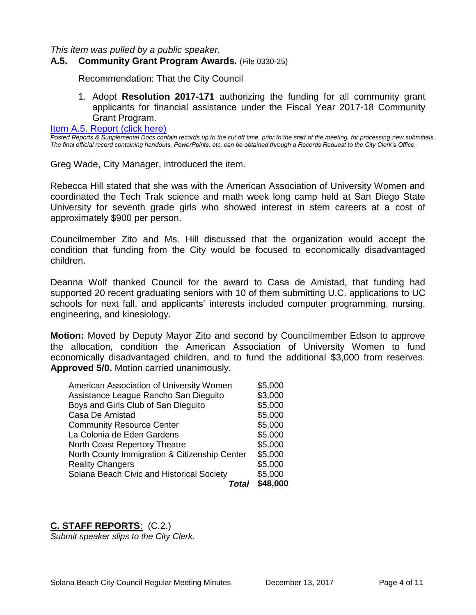*This item was pulled by a public speaker.*

#### **A.5. Community Grant Program Awards.** (File 0330-25)

Recommendation: That the City Council

1. Adopt **Resolution 2017-171** authorizing the funding for all community grant applicants for financial assistance under the Fiscal Year 2017-18 Community Grant Program.

[Item A.5. Report \(click here\)](https://solanabeach.govoffice3.com/vertical/Sites/%7B840804C2-F869-4904-9AE3-720581350CE7%7D/uploads/Item_A.5._Report_(click_here)_-_12-13-17.PDF)

*Posted Reports & Supplemental Docs contain records up to the cut off time, prior to the start of the meeting, for processing new submittals. The final official record containing handouts, PowerPoints, etc. can be obtained through a Records Request to the City Clerk's Office.*

Greg Wade, City Manager, introduced the item.

Rebecca Hill stated that she was with the American Association of University Women and coordinated the Tech Trak science and math week long camp held at San Diego State University for seventh grade girls who showed interest in stem careers at a cost of approximately \$900 per person.

Councilmember Zito and Ms. Hill discussed that the organization would accept the condition that funding from the City would be focused to economically disadvantaged children.

Deanna Wolf thanked Council for the award to Casa de Amistad, that funding had supported 20 recent graduating seniors with 10 of them submitting U.C. applications to UC schools for next fall, and applicants' interests included computer programming, nursing, engineering, and kinesiology.

**Motion:** Moved by Deputy Mayor Zito and second by Councilmember Edson to approve the allocation, condition the American Association of University Women to fund economically disadvantaged children, and to fund the additional \$3,000 from reserves. **Approved 5/0.** Motion carried unanimously.

| Total                                         | \$48,000 |
|-----------------------------------------------|----------|
| Solana Beach Civic and Historical Society     | \$5,000  |
| <b>Reality Changers</b>                       | \$5,000  |
| North County Immigration & Citizenship Center | \$5,000  |
| <b>North Coast Repertory Theatre</b>          | \$5,000  |
| La Colonia de Eden Gardens                    | \$5,000  |
| <b>Community Resource Center</b>              | \$5,000  |
| Casa De Amistad                               | \$5,000  |
| Boys and Girls Club of San Dieguito           | \$5,000  |
| Assistance League Rancho San Dieguito         | \$3,000  |
| American Association of University Women      | \$5,000  |

#### **C. STAFF REPORTS**: (C.2.)

*Submit speaker slips to the City Clerk.*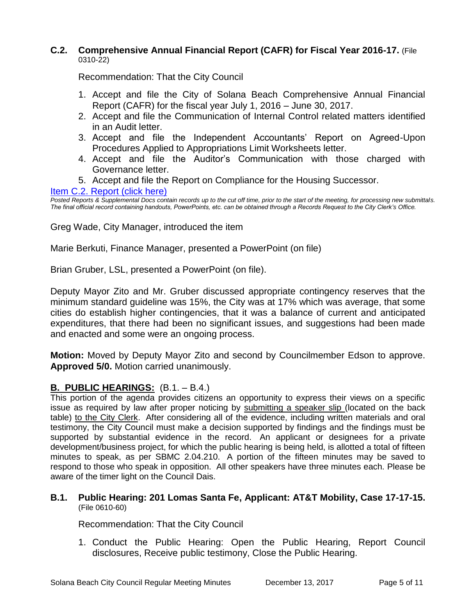# **C.2. Comprehensive Annual Financial Report (CAFR) for Fiscal Year 2016-17.** (File 0310-22)

Recommendation: That the City Council

- 1. Accept and file the City of Solana Beach Comprehensive Annual Financial Report (CAFR) for the fiscal year July 1, 2016 – June 30, 2017.
- 2. Accept and file the Communication of Internal Control related matters identified in an Audit letter.
- 3. Accept and file the Independent Accountants' Report on Agreed-Upon Procedures Applied to Appropriations Limit Worksheets letter.
- 4. Accept and file the Auditor's Communication with those charged with Governance letter.
- 5. Accept and file the Report on Compliance for the Housing Successor.

# [Item C.2. Report \(click here\)](https://solanabeach.govoffice3.com/vertical/Sites/%7B840804C2-F869-4904-9AE3-720581350CE7%7D/uploads/Item_C.2._Report_(click_here)_-_12-13-17.pdf)

*Posted Reports & Supplemental Docs contain records up to the cut off time, prior to the start of the meeting, for processing new submittals. The final official record containing handouts, PowerPoints, etc. can be obtained through a Records Request to the City Clerk's Office.*

Greg Wade, City Manager, introduced the item

Marie Berkuti, Finance Manager, presented a PowerPoint (on file)

Brian Gruber, LSL, presented a PowerPoint (on file).

Deputy Mayor Zito and Mr. Gruber discussed appropriate contingency reserves that the minimum standard guideline was 15%, the City was at 17% which was average, that some cities do establish higher contingencies, that it was a balance of current and anticipated expenditures, that there had been no significant issues, and suggestions had been made and enacted and some were an ongoing process.

**Motion:** Moved by Deputy Mayor Zito and second by Councilmember Edson to approve. **Approved 5/0.** Motion carried unanimously.

# **B. PUBLIC HEARINGS:** (B.1. – B.4.)

This portion of the agenda provides citizens an opportunity to express their views on a specific issue as required by law after proper noticing by submitting a speaker slip (located on the back table) to the City Clerk. After considering all of the evidence, including written materials and oral testimony, the City Council must make a decision supported by findings and the findings must be supported by substantial evidence in the record. An applicant or designees for a private development/business project, for which the public hearing is being held, is allotted a total of fifteen minutes to speak, as per SBMC 2.04.210. A portion of the fifteen minutes may be saved to respond to those who speak in opposition. All other speakers have three minutes each. Please be aware of the timer light on the Council Dais.

#### **B.1. Public Hearing: 201 Lomas Santa Fe, Applicant: AT&T Mobility, Case 17-17-15.** (File 0610-60)

Recommendation: That the City Council

1. Conduct the Public Hearing: Open the Public Hearing, Report Council disclosures, Receive public testimony, Close the Public Hearing.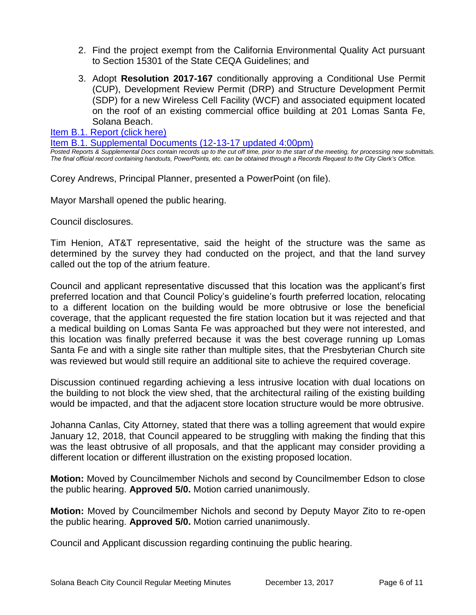- 2. Find the project exempt from the California Environmental Quality Act pursuant to Section 15301 of the State CEQA Guidelines; and
- 3. Adopt **Resolution 2017-167** conditionally approving a Conditional Use Permit (CUP), Development Review Permit (DRP) and Structure Development Permit (SDP) for a new Wireless Cell Facility (WCF) and associated equipment located on the roof of an existing commercial office building at 201 Lomas Santa Fe, Solana Beach.

[Item B.1. Report \(click here\)](https://solanabeach.govoffice3.com/vertical/Sites/%7B840804C2-F869-4904-9AE3-720581350CE7%7D/uploads/Item_B.1._Report_(click_here)_-_12-13-17.pdf)

[Item B.1. Supplemental Documents \(12-13-17](https://solanabeach.govoffice3.com/vertical/Sites/%7B840804C2-F869-4904-9AE3-720581350CE7%7D/uploads/B.1._Supplemental_Documents_(12-13-17_updated_400pm)_-_R.pdf) updated 4:00pm)

*Posted Reports & Supplemental Docs contain records up to the cut off time, prior to the start of the meeting, for processing new submittals. The final official record containing handouts, PowerPoints, etc. can be obtained through a Records Request to the City Clerk's Office.*

Corey Andrews, Principal Planner, presented a PowerPoint (on file).

Mayor Marshall opened the public hearing.

Council disclosures.

Tim Henion, AT&T representative, said the height of the structure was the same as determined by the survey they had conducted on the project, and that the land survey called out the top of the atrium feature.

Council and applicant representative discussed that this location was the applicant's first preferred location and that Council Policy's guideline's fourth preferred location, relocating to a different location on the building would be more obtrusive or lose the beneficial coverage, that the applicant requested the fire station location but it was rejected and that a medical building on Lomas Santa Fe was approached but they were not interested, and this location was finally preferred because it was the best coverage running up Lomas Santa Fe and with a single site rather than multiple sites, that the Presbyterian Church site was reviewed but would still require an additional site to achieve the required coverage.

Discussion continued regarding achieving a less intrusive location with dual locations on the building to not block the view shed, that the architectural railing of the existing building would be impacted, and that the adjacent store location structure would be more obtrusive.

Johanna Canlas, City Attorney, stated that there was a tolling agreement that would expire January 12, 2018, that Council appeared to be struggling with making the finding that this was the least obtrusive of all proposals, and that the applicant may consider providing a different location or different illustration on the existing proposed location.

**Motion:** Moved by Councilmember Nichols and second by Councilmember Edson to close the public hearing. **Approved 5/0.** Motion carried unanimously.

**Motion:** Moved by Councilmember Nichols and second by Deputy Mayor Zito to re-open the public hearing. **Approved 5/0.** Motion carried unanimously.

Council and Applicant discussion regarding continuing the public hearing.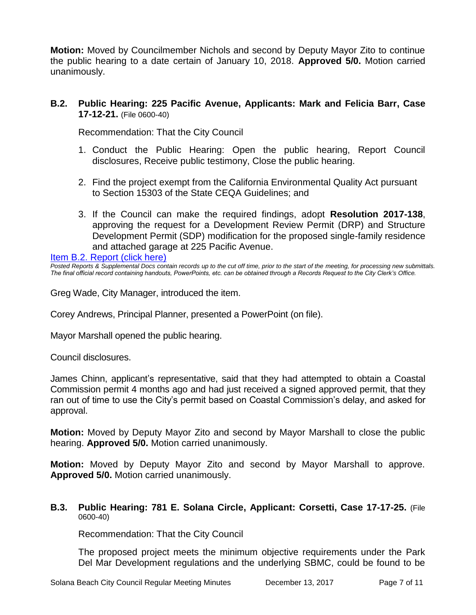**Motion:** Moved by Councilmember Nichols and second by Deputy Mayor Zito to continue the public hearing to a date certain of January 10, 2018. **Approved 5/0.** Motion carried unanimously.

# **B.2. Public Hearing: 225 Pacific Avenue, Applicants: Mark and Felicia Barr, Case 17-12-21.** (File 0600-40)

Recommendation: That the City Council

- 1. Conduct the Public Hearing: Open the public hearing, Report Council disclosures, Receive public testimony, Close the public hearing.
- 2. Find the project exempt from the California Environmental Quality Act pursuant to Section 15303 of the State CEQA Guidelines; and
- 3. If the Council can make the required findings, adopt **Resolution 2017-138**, approving the request for a Development Review Permit (DRP) and Structure Development Permit (SDP) modification for the proposed single-family residence and attached garage at 225 Pacific Avenue.

[Item B.2. Report \(click here\)](https://solanabeach.govoffice3.com/vertical/Sites/%7B840804C2-F869-4904-9AE3-720581350CE7%7D/uploads/Item_B.2._Report_(click_here)_-_12-13-17.pdf)

*Posted Reports & Supplemental Docs contain records up to the cut off time, prior to the start of the meeting, for processing new submittals. The final official record containing handouts, PowerPoints, etc. can be obtained through a Records Request to the City Clerk's Office.*

Greg Wade, City Manager, introduced the item.

Corey Andrews, Principal Planner, presented a PowerPoint (on file).

Mayor Marshall opened the public hearing.

Council disclosures.

James Chinn, applicant's representative, said that they had attempted to obtain a Coastal Commission permit 4 months ago and had just received a signed approved permit, that they ran out of time to use the City's permit based on Coastal Commission's delay, and asked for approval.

**Motion:** Moved by Deputy Mayor Zito and second by Mayor Marshall to close the public hearing. **Approved 5/0.** Motion carried unanimously.

**Motion:** Moved by Deputy Mayor Zito and second by Mayor Marshall to approve. **Approved 5/0.** Motion carried unanimously.

#### **B.3. Public Hearing: 781 E. Solana Circle, Applicant: Corsetti, Case 17-17-25.** (File 0600-40)

Recommendation: That the City Council

The proposed project meets the minimum objective requirements under the Park Del Mar Development regulations and the underlying SBMC, could be found to be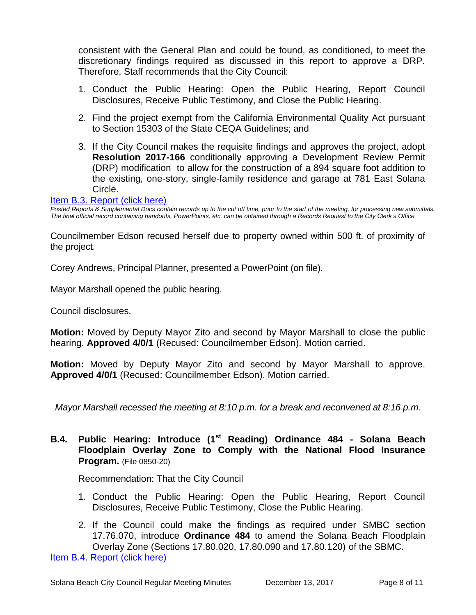consistent with the General Plan and could be found, as conditioned, to meet the discretionary findings required as discussed in this report to approve a DRP. Therefore, Staff recommends that the City Council:

- 1. Conduct the Public Hearing: Open the Public Hearing, Report Council Disclosures, Receive Public Testimony, and Close the Public Hearing.
- 2. Find the project exempt from the California Environmental Quality Act pursuant to Section 15303 of the State CEQA Guidelines; and
- 3. If the City Council makes the requisite findings and approves the project, adopt **Resolution 2017-166** conditionally approving a Development Review Permit (DRP) modification to allow for the construction of a 894 square foot addition to the existing, one-story, single-family residence and garage at 781 East Solana Circle.

#### [Item B.3. Report \(click here\)](https://solanabeach.govoffice3.com/vertical/Sites/%7B840804C2-F869-4904-9AE3-720581350CE7%7D/uploads/Item_B.3._Report_(click_here)_-_12-13-17.pdf)

*Posted Reports & Supplemental Docs contain records up to the cut off time, prior to the start of the meeting, for processing new submittals. The final official record containing handouts, PowerPoints, etc. can be obtained through a Records Request to the City Clerk's Office.*

Councilmember Edson recused herself due to property owned within 500 ft. of proximity of the project.

Corey Andrews, Principal Planner, presented a PowerPoint (on file).

Mayor Marshall opened the public hearing.

Council disclosures.

**Motion:** Moved by Deputy Mayor Zito and second by Mayor Marshall to close the public hearing. **Approved 4/0/1** (Recused: Councilmember Edson). Motion carried.

**Motion:** Moved by Deputy Mayor Zito and second by Mayor Marshall to approve. **Approved 4/0/1** (Recused: Councilmember Edson). Motion carried.

*Mayor Marshall recessed the meeting at 8:10 p.m. for a break and reconvened at 8:16 p.m.*

**B.4. Public Hearing: Introduce (1st Reading) Ordinance 484 - Solana Beach Floodplain Overlay Zone to Comply with the National Flood Insurance Program.** (File 0850-20)

Recommendation: That the City Council

- 1. Conduct the Public Hearing: Open the Public Hearing, Report Council Disclosures, Receive Public Testimony, Close the Public Hearing.
- 2. If the Council could make the findings as required under SMBC section 17.76.070, introduce **Ordinance 484** to amend the Solana Beach Floodplain Overlay Zone (Sections 17.80.020, 17.80.090 and 17.80.120) of the SBMC.

[Item B.4. Report \(click here\)](https://solanabeach.govoffice3.com/vertical/Sites/%7B840804C2-F869-4904-9AE3-720581350CE7%7D/uploads/Item_B.4._Report_(click_here)_-_12-13-17.pdf)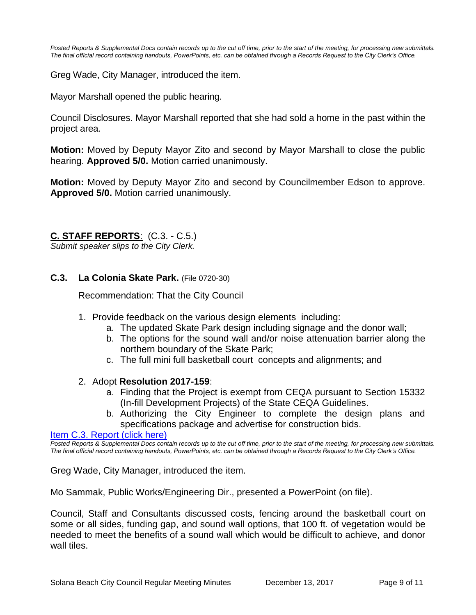*Posted Reports & Supplemental Docs contain records up to the cut off time, prior to the start of the meeting, for processing new submittals. The final official record containing handouts, PowerPoints, etc. can be obtained through a Records Request to the City Clerk's Office.*

Greg Wade, City Manager, introduced the item.

Mayor Marshall opened the public hearing.

Council Disclosures. Mayor Marshall reported that she had sold a home in the past within the project area.

**Motion:** Moved by Deputy Mayor Zito and second by Mayor Marshall to close the public hearing. **Approved 5/0.** Motion carried unanimously.

**Motion:** Moved by Deputy Mayor Zito and second by Councilmember Edson to approve. **Approved 5/0.** Motion carried unanimously.

#### **C. STAFF REPORTS**: (C.3. - C.5.)

*Submit speaker slips to the City Clerk.*

**C.3. La Colonia Skate Park.** (File 0720-30)

Recommendation: That the City Council

- 1. Provide feedback on the various design elements including:
	- a. The updated Skate Park design including signage and the donor wall;
	- b. The options for the sound wall and/or noise attenuation barrier along the northern boundary of the Skate Park;
	- c. The full mini full basketball court concepts and alignments; and

#### 2. Adopt **Resolution 2017-159**:

- a. Finding that the Project is exempt from CEQA pursuant to Section 15332 (In-fill Development Projects) of the State CEQA Guidelines.
- b. Authorizing the City Engineer to complete the design plans and specifications package and advertise for construction bids.

[Item C.3. Report \(click here\)](https://solanabeach.govoffice3.com/vertical/Sites/%7B840804C2-F869-4904-9AE3-720581350CE7%7D/uploads/Item_C.3._Report_(click_here)_-_12-13-17.pdf)

*Posted Reports & Supplemental Docs contain records up to the cut off time, prior to the start of the meeting, for processing new submittals. The final official record containing handouts, PowerPoints, etc. can be obtained through a Records Request to the City Clerk's Office.*

Greg Wade, City Manager, introduced the item.

Mo Sammak, Public Works/Engineering Dir., presented a PowerPoint (on file).

Council, Staff and Consultants discussed costs, fencing around the basketball court on some or all sides, funding gap, and sound wall options, that 100 ft. of vegetation would be needed to meet the benefits of a sound wall which would be difficult to achieve, and donor wall tiles.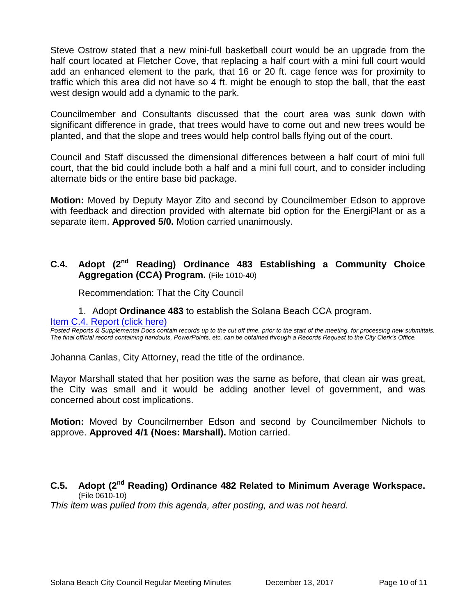Steve Ostrow stated that a new mini-full basketball court would be an upgrade from the half court located at Fletcher Cove, that replacing a half court with a mini full court would add an enhanced element to the park, that 16 or 20 ft. cage fence was for proximity to traffic which this area did not have so 4 ft. might be enough to stop the ball, that the east west design would add a dynamic to the park.

Councilmember and Consultants discussed that the court area was sunk down with significant difference in grade, that trees would have to come out and new trees would be planted, and that the slope and trees would help control balls flying out of the court.

Council and Staff discussed the dimensional differences between a half court of mini full court, that the bid could include both a half and a mini full court, and to consider including alternate bids or the entire base bid package.

**Motion:** Moved by Deputy Mayor Zito and second by Councilmember Edson to approve with feedback and direction provided with alternate bid option for the EnergiPlant or as a separate item. **Approved 5/0.** Motion carried unanimously.

# **C.4. Adopt (2nd Reading) Ordinance 483 Establishing a Community Choice Aggregation (CCA) Program.** (File 1010-40)

Recommendation: That the City Council

1. Adopt **Ordinance 483** to establish the Solana Beach CCA program.

[Item C.4. Report \(click here\)](https://solanabeach.govoffice3.com/vertical/Sites/%7B840804C2-F869-4904-9AE3-720581350CE7%7D/uploads/Item_C.4._Report_(click_here)_-_12-13-17.pdf)

*Posted Reports & Supplemental Docs contain records up to the cut off time, prior to the start of the meeting, for processing new submittals. The final official record containing handouts, PowerPoints, etc. can be obtained through a Records Request to the City Clerk's Office.*

Johanna Canlas, City Attorney, read the title of the ordinance.

Mayor Marshall stated that her position was the same as before, that clean air was great, the City was small and it would be adding another level of government, and was concerned about cost implications.

**Motion:** Moved by Councilmember Edson and second by Councilmember Nichols to approve. **Approved 4/1 (Noes: Marshall).** Motion carried.

# **C.5. Adopt (2nd Reading) Ordinance 482 Related to Minimum Average Workspace.** (File 0610-10)

*This item was pulled from this agenda, after posting, and was not heard.*